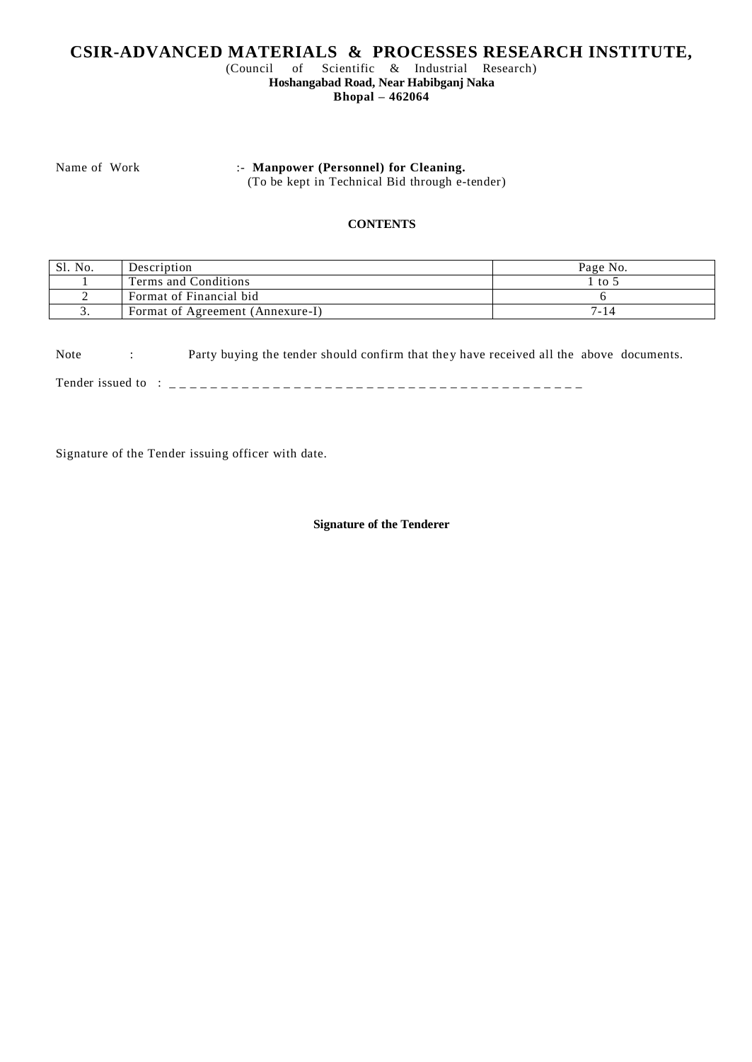# **CSIR-ADVANCED MATERIALS & PROCESSES RESEARCH INSTITUTE,**

(Council of Scientific & Industrial Research) **Hoshangabad Road, Near Habibganj Naka**

**Bhopal – 462064** 

Name of Work :- **Manpower (Personnel) for Cleaning.** 

(To be kept in Technical Bid through e-tender)

#### **CONTENTS**

| Sl. No. | Description                      | Page No. |
|---------|----------------------------------|----------|
|         | Terms and Conditions             | to.      |
|         | Format of Financial bid          |          |
|         | Format of Agreement (Annexure-I) | '-14     |

Note : Party buying the tender should confirm that they have received all the above documents.

Tender issued to : \_ \_ \_ \_ \_ \_ \_ \_ \_ \_ \_ \_ \_ \_ \_ \_ \_ \_ \_ \_ \_ \_ \_ \_ \_ \_ \_ \_ \_ \_ \_ \_ \_ \_ \_ \_ \_ \_ \_ \_

Signature of the Tender issuing officer with date.

#### **Signature of the Tenderer**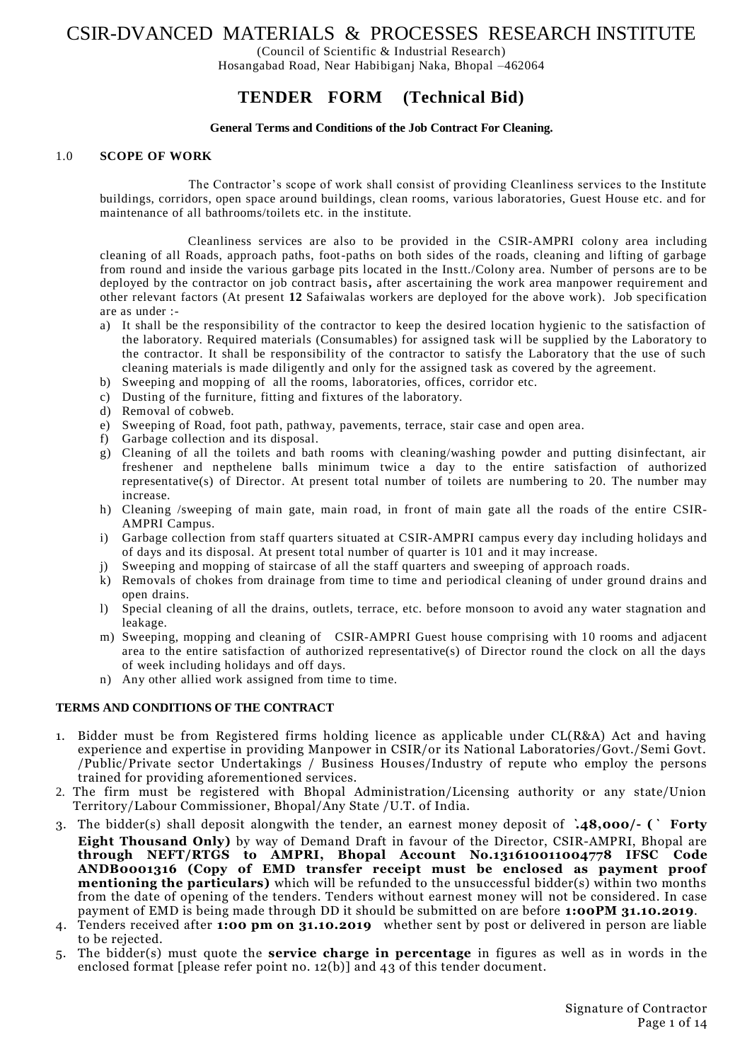# CSIR-DVANCED MATERIALS & PROCESSES RESEARCH INSTITUTE

(Council of Scientific & Industrial Research)

Hosangabad Road, Near Habibiganj Naka, Bhopal –462064

# **TENDER FORM (Technical Bid)**

#### **General Terms and Conditions of the Job Contract For Cleaning.**

#### 1.0 **SCOPE OF WORK**

The Contractor's scope of work shall consist of providing Cleanliness services to the Institute buildings, corridors, open space around buildings, clean rooms, various laboratories, Guest House etc. and for maintenance of all bathrooms/toilets etc. in the institute.

 Cleanliness services are also to be provided in the CSIR-AMPRI colony area including cleaning of all Roads, approach paths, foot-paths on both sides of the roads, cleaning and lifting of garbage from round and inside the various garbage pits located in the Instt./Colony area. Number of persons are to be deployed by the contractor on job contract basis**,** after ascertaining the work area manpower requirement and other relevant factors (At present **12** Safaiwalas workers are deployed for the above work). Job specification are as under :-

- a) It shall be the responsibility of the contractor to keep the desired location hygienic to the satisfaction of the laboratory. Required materials (Consumables) for assigned task will be supplied by the Laboratory to the contractor. It shall be responsibility of the contractor to satisfy the Laboratory that the use of such cleaning materials is made diligently and only for the assigned task as covered by the agreement.
- b) Sweeping and mopping of all the rooms, laboratories, offices, corridor etc.
- c) Dusting of the furniture, fitting and fixtures of the laboratory.
- d) Removal of cobweb.
- e) Sweeping of Road, foot path, pathway, pavements, terrace, stair case and open area.
- f) Garbage collection and its disposal.
- g) Cleaning of all the toilets and bath rooms with cleaning/washing powder and putting disinfectant, air freshener and nepthelene balls minimum twice a day to the entire satisfaction of authorized representative(s) of Director. At present total number of toilets are numbering to 20. The number may increase.
- h) Cleaning /sweeping of main gate, main road, in front of main gate all the roads of the entire CSIR-AMPRI Campus.
- i) Garbage collection from staff quarters situated at CSIR-AMPRI campus every day including holidays and of days and its disposal. At present total number of quarter is 101 and it may increase.
- j) Sweeping and mopping of staircase of all the staff quarters and sweeping of approach roads.
- k) Removals of chokes from drainage from time to time and periodical cleaning of under ground drains and open drains.
- l) Special cleaning of all the drains, outlets, terrace, etc. before monsoon to avoid any water stagnation and leakage.
- m) Sweeping, mopping and cleaning of CSIR-AMPRI Guest house comprising with 10 rooms and adjacent area to the entire satisfaction of authorized representative(s) of Director round the clock on all the days of week including holidays and off days.
- n) Any other allied work assigned from time to time.

#### **TERMS AND CONDITIONS OF THE CONTRACT**

- 1. Bidder must be from Registered firms holding licence as applicable under CL(R&A) Act and having experience and expertise in providing Manpower in CSIR/or its National Laboratories/Govt./Semi Govt. /Public/Private sector Undertakings / Business Houses/Industry of repute who employ the persons trained for providing aforementioned services.
- 2. The firm must be registered with Bhopal Administration/Licensing authority or any state/Union Territory/Labour Commissioner, Bhopal/Any State /U.T. of India.
- 3. The bidder(s) shall deposit alongwith the tender, an earnest money deposit of **`.48,000/- (` Forty Eight Thousand Only)** by way of Demand Draft in favour of the Director, CSIR-AMPRI, Bhopal are **through NEFT/RTGS to AMPRI, Bhopal Account No.131610011004778 IFSC Code ANDB0001316 (Copy of EMD transfer receipt must be enclosed as payment proof mentioning the particulars)** which will be refunded to the unsuccessful bidder(s) within two months from the date of opening of the tenders. Tenders without earnest money will not be considered. In case payment of EMD is being made through DD it should be submitted on are before **1:00PM 31.10.2019**.
- 4. Tenders received after **1:00 pm on 31.10.2019** whether sent by post or delivered in person are liable to be rejected.
- 5. The bidder(s) must quote the **service charge in percentage** in figures as well as in words in the enclosed format [please refer point no. 12(b)] and 43 of this tender document.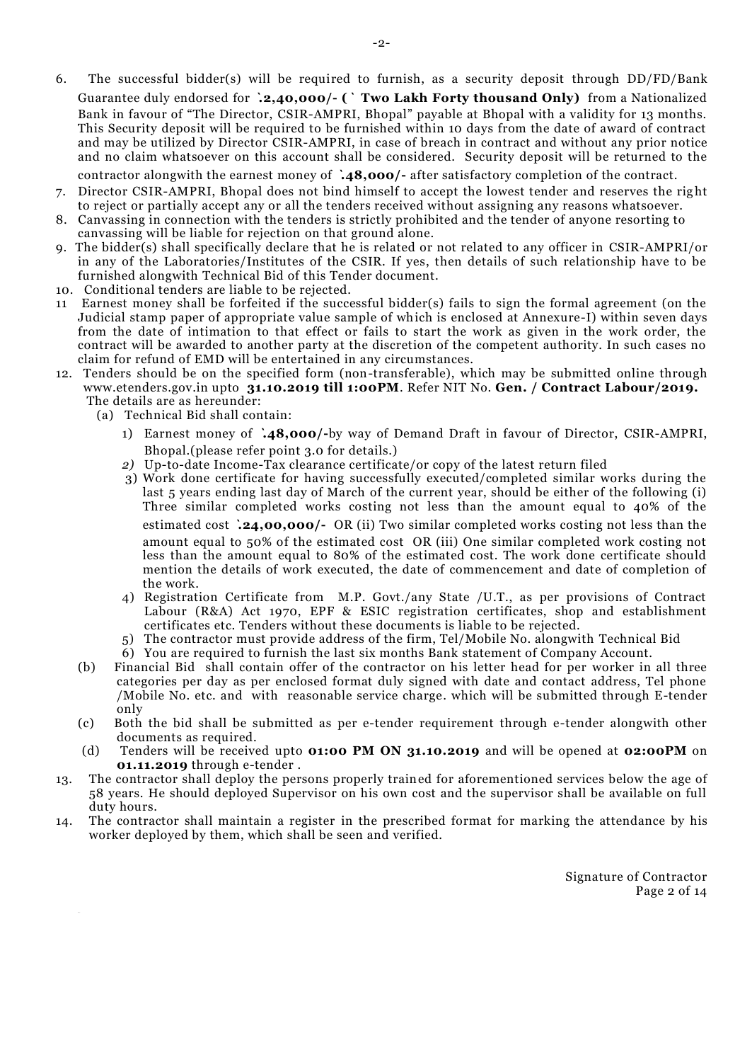6. The successful bidder(s) will be required to furnish, as a security deposit through DD/FD/Bank Guarantee duly endorsed for **`.2,40,000/- (` Two Lakh Forty thousand Only)** from a Nationalized Bank in favour of "The Director, CSIR-AMPRI, Bhopal" payable at Bhopal with a validity for 13 months. This Security deposit will be required to be furnished within 10 days from the date of award of contract and may be utilized by Director CSIR-AMPRI, in case of breach in contract and without any prior notice and no claim whatsoever on this account shall be considered. Security deposit will be returned to the

contractor alongwith the earnest money of **`.48,000/-** after satisfactory completion of the contract.

- 7. Director CSIR-AMPRI, Bhopal does not bind himself to accept the lowest tender and reserves the right to reject or partially accept any or all the tenders received without assigning any reasons whatsoever.
- 8. Canvassing in connection with the tenders is strictly prohibited and the tender of anyone resorting to canvassing will be liable for rejection on that ground alone.
- 9. The bidder(s) shall specifically declare that he is related or not related to any officer in CSIR-AMPRI/or in any of the Laboratories/Institutes of the CSIR. If yes, then details of such relationship have to be furnished alongwith Technical Bid of this Tender document.
- 10. Conditional tenders are liable to be rejected.
- 11 Earnest money shall be forfeited if the successful bidder(s) fails to sign the formal agreement (on the Judicial stamp paper of appropriate value sample of which is enclosed at Annexure-I) within seven days from the date of intimation to that effect or fails to start the work as given in the work order, the contract will be awarded to another party at the discretion of the competent authority. In such cases no claim for refund of EMD will be entertained in any circumstances.
- 12. Tenders should be on the specified form (non-transferable), which may be submitted online through www.etenders.gov.in upto **31.10.2019 till 1:00PM**. Refer NIT No. **Gen. / Contract Labour/2019.** The details are as hereunder:
	- (a) Technical Bid shall contain:
		- 1) Earnest money of **`.48,000/-**by way of Demand Draft in favour of Director, CSIR-AMPRI, Bhopal.(please refer point 3.0 for details.)
		- *2)* Up-to-date Income-Tax clearance certificate/or copy of the latest return filed
		- 3) Work done certificate for having successfully executed/completed similar works during the last 5 years ending last day of March of the current year, should be either of the following (i) Three similar completed works costing not less than the amount equal to 40% of the estimated cost **`.24,00,000/-** OR (ii) Two similar completed works costing not less than the amount equal to 50% of the estimated cost OR (iii) One similar completed work costing not less than the amount equal to 80% of the estimated cost. The work done certificate should mention the details of work executed, the date of commencement and date of completion of the work.
		- 4) Registration Certificate from M.P. Govt./any State /U.T., as per provisions of Contract Labour (R&A) Act 1970, EPF & ESIC registration certificates, shop and establishment certificates etc. Tenders without these documents is liable to be rejected.
		- 5) The contractor must provide address of the firm, Tel/Mobile No. alongwith Technical Bid
		- 6) You are required to furnish the last six months Bank statement of Company Account.
	- (b) Financial Bid shall contain offer of the contractor on his letter head for per worker in all three categories per day as per enclosed format duly signed with date and contact address, Tel phone /Mobile No. etc. and with reasonable service charge. which will be submitted through E-tender only
	- (c) Both the bid shall be submitted as per e-tender requirement through e-tender alongwith other documents as required.
	- (d) Tenders will be received upto **01:00 PM ON 31.10.2019** and will be opened at **02:00PM** on **01.11.2019** through e-tender .
- 13. The contractor shall deploy the persons properly trained for aforementioned services below the age of 58 years. He should deployed Supervisor on his own cost and the supervisor shall be available on full duty hours.
- 14. The contractor shall maintain a register in the prescribed format for marking the attendance by his worker deployed by them, which shall be seen and verified.

Signature of Contractor Page 2 of 14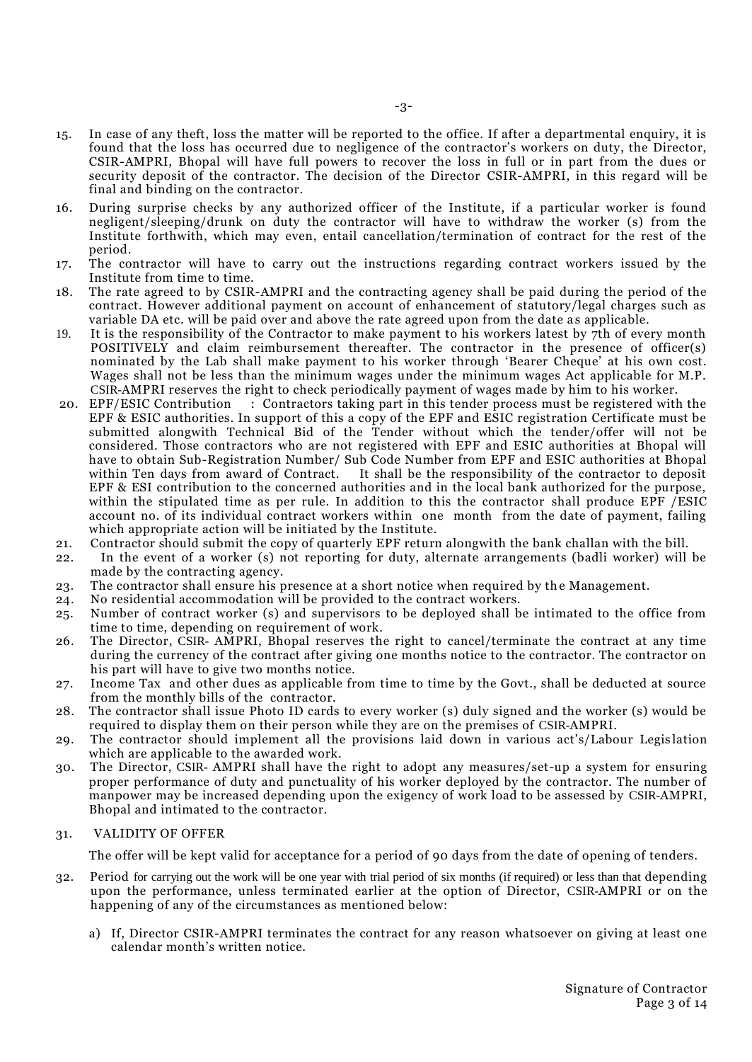- 15. In case of any theft, loss the matter will be reported to the office. If after a departmental enquiry, it is found that the loss has occurred due to negligence of the contractor's workers on duty, the Director, CSIR-AMPRI, Bhopal will have full powers to recover the loss in full or in part from the dues or security deposit of the contractor. The decision of the Director CSIR-AMPRI, in this regard will be final and binding on the contractor.
- 16. During surprise checks by any authorized officer of the Institute, if a particular worker is found negligent/sleeping/drunk on duty the contractor will have to withdraw the worker (s) from the Institute forthwith, which may even, entail cancellation/termination of contract for the rest of the period.
- 17. The contractor will have to carry out the instructions regarding contract workers issued by the Institute from time to time.
- 18. The rate agreed to by CSIR-AMPRI and the contracting agency shall be paid during the period of the contract. However additional payment on account of enhancement of statutory/legal charges such as variable DA etc. will be paid over and above the rate agreed upon from the date as applicable.
- 19. It is the responsibility of the Contractor to make payment to his workers latest by 7th of every month POSITIVELY and claim reimbursement thereafter. The contractor in the presence of officer(s) nominated by the Lab shall make payment to his worker through 'Bearer Cheque' at his own cost. Wages shall not be less than the minimum wages under the minimum wages Act applicable for M.P. CSIR-AMPRI reserves the right to check periodically payment of wages made by him to his worker.
- 20. EPF/ESIC Contribution : Contractors taking part in this tender process must be registered with the EPF & ESIC authorities. In support of this a copy of the EPF and ESIC registration Certificate must be submitted alongwith Technical Bid of the Tender without which the tender/offer will not be considered. Those contractors who are not registered with EPF and ESIC authorities at Bhopal will have to obtain Sub-Registration Number/ Sub Code Number from EPF and ESIC authorities at Bhopal within Ten days from award of Contract. It shall be the responsibility of the contractor to deposit EPF & ESI contribution to the concerned authorities and in the local bank authorized for the purpose, within the stipulated time as per rule. In addition to this the contractor shall produce EPF /ESIC account no. of its individual contract workers within one month from the date of payment, failing which appropriate action will be initiated by the Institute.
- 21. Contractor should submit the copy of quarterly EPF return alongwith the bank challan with the bill.
- 22. In the event of a worker (s) not reporting for duty, alternate arrangements (badli worker) will be made by the contracting agency.
- 23. The contractor shall ensure his presence at a short notice when required by th e Management.
- 24. No residential accommodation will be provided to the contract workers.
- 25. Number of contract worker (s) and supervisors to be deployed shall be intimated to the office from time to time, depending on requirement of work.
- 26. The Director, CSIR- AMPRI, Bhopal reserves the right to cancel/terminate the contract at any time during the currency of the contract after giving one months notice to the contractor. The contractor on his part will have to give two months notice.
- 27. Income Tax and other dues as applicable from time to time by the Govt., shall be deducted at source from the monthly bills of the contractor.
- 28. The contractor shall issue Photo ID cards to every worker (s) duly signed and the worker (s) would be required to display them on their person while they are on the premises of CSIR-AMPRI.
- 29. The contractor should implement all the provisions laid down in various act's/Labour Legis lation which are applicable to the awarded work.
- 30. The Director, CSIR- AMPRI shall have the right to adopt any measures/set-up a system for ensuring proper performance of duty and punctuality of his worker deployed by the contractor. The number of manpower may be increased depending upon the exigency of work load to be assessed by CSIR-AMPRI, Bhopal and intimated to the contractor.

#### 31. VALIDITY OF OFFER

The offer will be kept valid for acceptance for a period of 90 days from the date of opening of tenders.

- 32. Period for carrying out the work will be one year with trial period of six months (if required) or less than that depending upon the performance, unless terminated earlier at the option of Director, CSIR-AMPRI or on the happening of any of the circumstances as mentioned below:
	- a) If, Director CSIR-AMPRI terminates the contract for any reason whatsoever on giving at least one calendar month's written notice.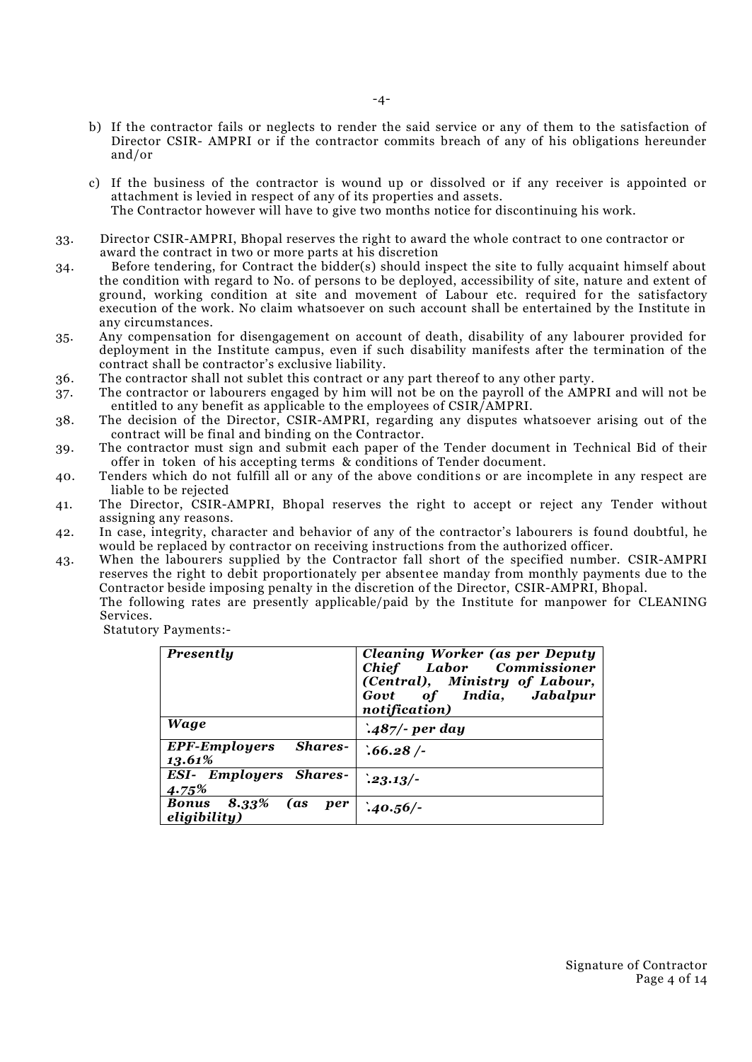- b) If the contractor fails or neglects to render the said service or any of them to the satisfaction of Director CSIR- AMPRI or if the contractor commits breach of any of his obligations hereunder and/or
- c) If the business of the contractor is wound up or dissolved or if any receiver is appointed or attachment is levied in respect of any of its properties and assets. The Contractor however will have to give two months notice for discontinuing his work.
- 33. Director CSIR-AMPRI, Bhopal reserves the right to award the whole contract to one contractor or award the contract in two or more parts at his discretion
- 34. Before tendering, for Contract the bidder(s) should inspect the site to fully acquaint himself about the condition with regard to No. of persons to be deployed, accessibility of site, nature and extent of ground, working condition at site and movement of Labour etc. required for the satisfactory execution of the work. No claim whatsoever on such account shall be entertained by the Institute in any circumstances.
- 35. Any compensation for disengagement on account of death, disability of any labourer provided for deployment in the Institute campus, even if such disability manifests after the termination of the contract shall be contractor's exclusive liability.
- 36. The contractor shall not sublet this contract or any part thereof to any other party.
- 37. The contractor or labourers engaged by him will not be on the payroll of the AMPRI and will not be entitled to any benefit as applicable to the employees of CSIR/AMPRI.
- 38. The decision of the Director, CSIR-AMPRI, regarding any disputes whatsoever arising out of the contract will be final and binding on the Contractor.
- 39. The contractor must sign and submit each paper of the Tender document in Technical Bid of their offer in token of his accepting terms & conditions of Tender document.
- 40. Tenders which do not fulfill all or any of the above conditions or are incomplete in any respect are liable to be rejected
- 41. The Director, CSIR-AMPRI, Bhopal reserves the right to accept or reject any Tender without assigning any reasons.
- 42. In case, integrity, character and behavior of any of the contractor's labourers is found doubtful, he would be replaced by contractor on receiving instructions from the authorized officer.
- 43. When the labourers supplied by the Contractor fall short of the specified number. CSIR-AMPRI reserves the right to debit proportionately per absentee manday from monthly payments due to the Contractor beside imposing penalty in the discretion of the Director, CSIR-AMPRI, Bhopal. The following rates are presently applicable/paid by the Institute for manpower for CLEANING

Services.

Statutory Payments:-

| Presently                                            | <b>Cleaning Worker (as per Deputy</b><br>Chief Labor Commissioner<br>(Central), Ministry of Labour,<br>Govt of India, Jabalpur<br>notification) |
|------------------------------------------------------|-------------------------------------------------------------------------------------------------------------------------------------------------|
| Wage                                                 | $.487$ /- per day                                                                                                                               |
| Shares-<br><b>EPF-Employers</b><br>13.61%            | .66.28/                                                                                                                                         |
| <b>ESI- Employers Shares-</b><br>4.75%               | $.23.13/-$                                                                                                                                      |
| <b>Bonus 8.33% (as</b><br><i>per</i><br>eligibility) | $.40.56/-$                                                                                                                                      |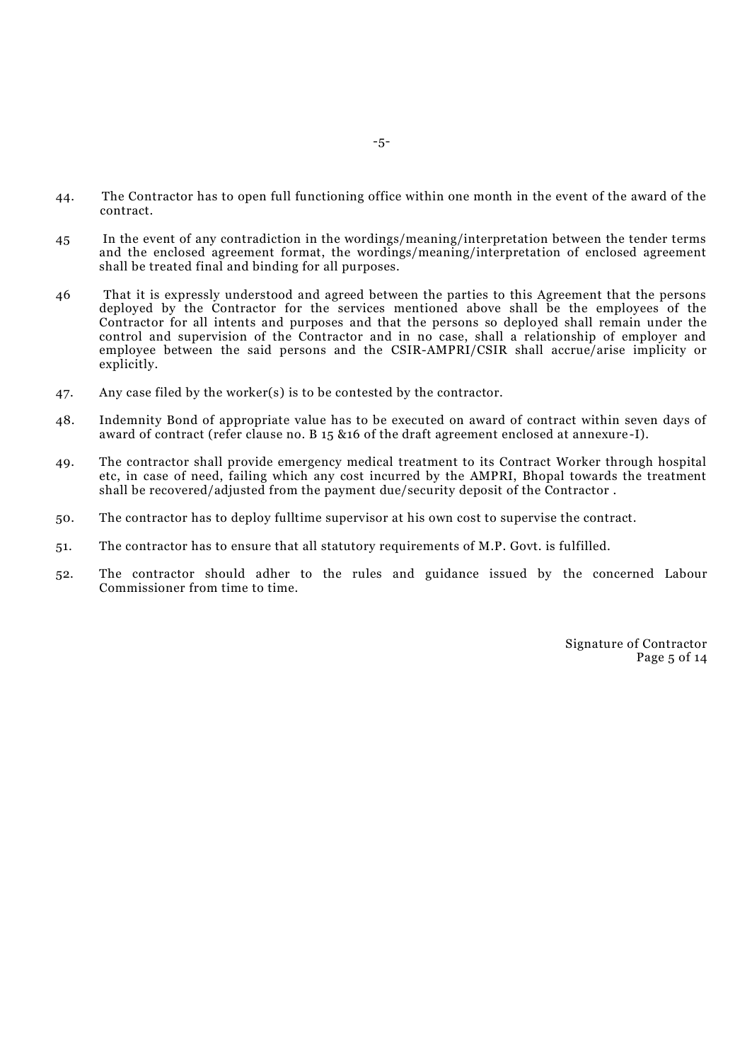- 44. The Contractor has to open full functioning office within one month in the event of the award of the contract.
- 45 In the event of any contradiction in the wordings/meaning/interpretation between the tender terms and the enclosed agreement format, the wordings/meaning/interpretation of enclosed agreement shall be treated final and binding for all purposes.
- 46 That it is expressly understood and agreed between the parties to this Agreement that the persons deployed by the Contractor for the services mentioned above shall be the employees of the Contractor for all intents and purposes and that the persons so deployed shall remain under the control and supervision of the Contractor and in no case, shall a relationship of employer and employee between the said persons and the CSIR-AMPRI/CSIR shall accrue/arise implicity or explicitly.
- 47. Any case filed by the worker(s) is to be contested by the contractor.
- 48. Indemnity Bond of appropriate value has to be executed on award of contract within seven days of award of contract (refer clause no. B 15 &16 of the draft agreement enclosed at annexure -I).
- 49. The contractor shall provide emergency medical treatment to its Contract Worker through hospital etc, in case of need, failing which any cost incurred by the AMPRI, Bhopal towards the treatment shall be recovered/adjusted from the payment due/security deposit of the Contractor .
- 50. The contractor has to deploy fulltime supervisor at his own cost to supervise the contract.
- 51. The contractor has to ensure that all statutory requirements of M.P. Govt. is fulfilled.
- 52. The contractor should adher to the rules and guidance issued by the concerned Labour Commissioner from time to time.

Signature of Contractor Page 5 of 14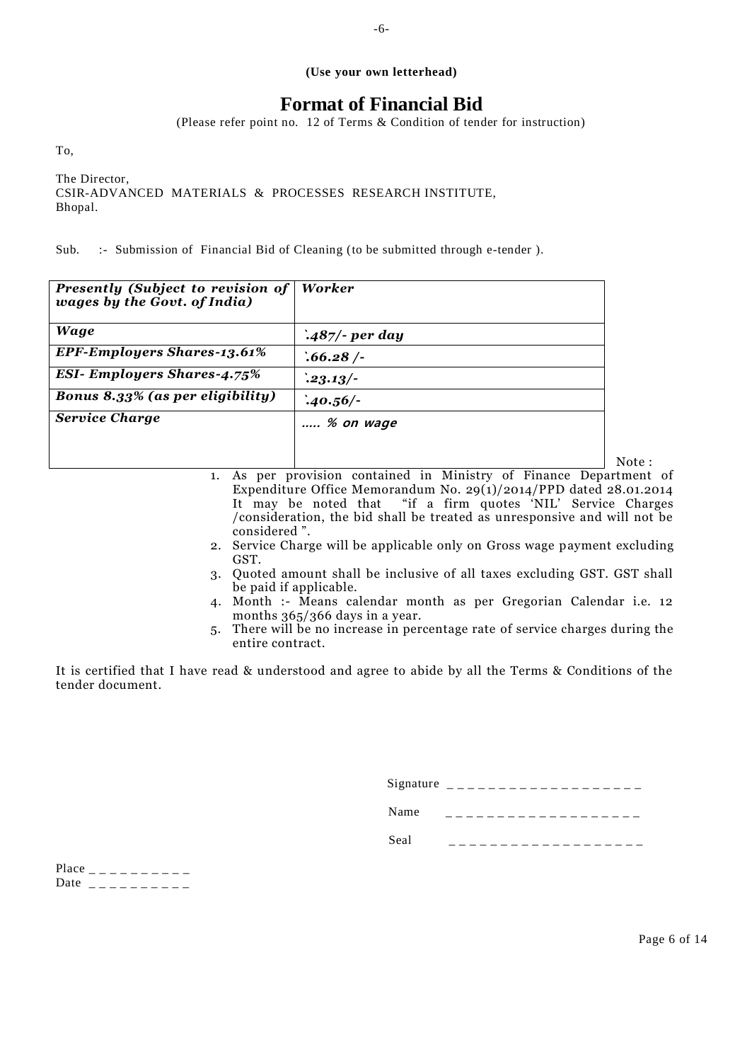#### **(Use your own letterhead)**

# **Format of Financial Bid**

(Please refer point no. 12 of Terms & Condition of tender for instruction)

To,

The Director, CSIR-ADVANCED MATERIALS & PROCESSES RESEARCH INSTITUTE, Bhopal.

Sub. :- Submission of Financial Bid of Cleaning (to be submitted through e-tender ).

| <b>Presently (Subject to revision of</b><br>wages by the Govt. of India) | Worker            |
|--------------------------------------------------------------------------|-------------------|
| <b>Wage</b>                                                              | $.487$ /- per day |
| <b>EPF-Employers Shares-13.61%</b>                                       | .66.28/           |
| <b>ESI- Employers Shares-4.75%</b>                                       | $.23.13/-$        |
| <b>Bonus 8.33% (as per eligibility)</b>                                  | $.40.56/-$        |
| <b>Service Charge</b>                                                    | % on wage         |
|                                                                          |                   |

| 1. As per provision contained in Ministry of Finance Department of       |
|--------------------------------------------------------------------------|
| Expenditure Office Memorandum No. $29(1)/2014$ /PPD dated 28.01.2014     |
| It may be noted that "if a firm quotes 'NIL' Service Charges             |
| /consideration, the bid shall be treated as unresponsive and will not be |
| considered ".                                                            |

- 2. Service Charge will be applicable only on Gross wage payment excluding GST.
- 3. Quoted amount shall be inclusive of all taxes excluding GST. GST shall be paid if applicable.
- 4. Month :- Means calendar month as per Gregorian Calendar i.e. 12 months  $365/366$  days in a year.
- 5. There will be no increase in percentage rate of service charges during the entire contract.

It is certified that I have read & understood and agree to abide by all the Terms & Conditions of the tender document.

| Signature |  |
|-----------|--|
| Name      |  |
| Seal      |  |

Place  $\frac{1}{2}$   $\frac{1}{2}$   $\frac{1}{2}$   $\frac{1}{2}$   $\frac{1}{2}$   $\frac{1}{2}$   $\frac{1}{2}$   $\frac{1}{2}$   $\frac{1}{2}$   $\frac{1}{2}$   $\frac{1}{2}$   $\frac{1}{2}$   $\frac{1}{2}$   $\frac{1}{2}$   $\frac{1}{2}$   $\frac{1}{2}$   $\frac{1}{2}$   $\frac{1}{2}$   $\frac{1}{2}$   $\frac{1}{2}$   $\frac{1}{2}$   $\frac{1$ Date  $\frac{1}{2}$  \_ \_ \_ \_ \_ \_ \_ \_ \_ \_

Note :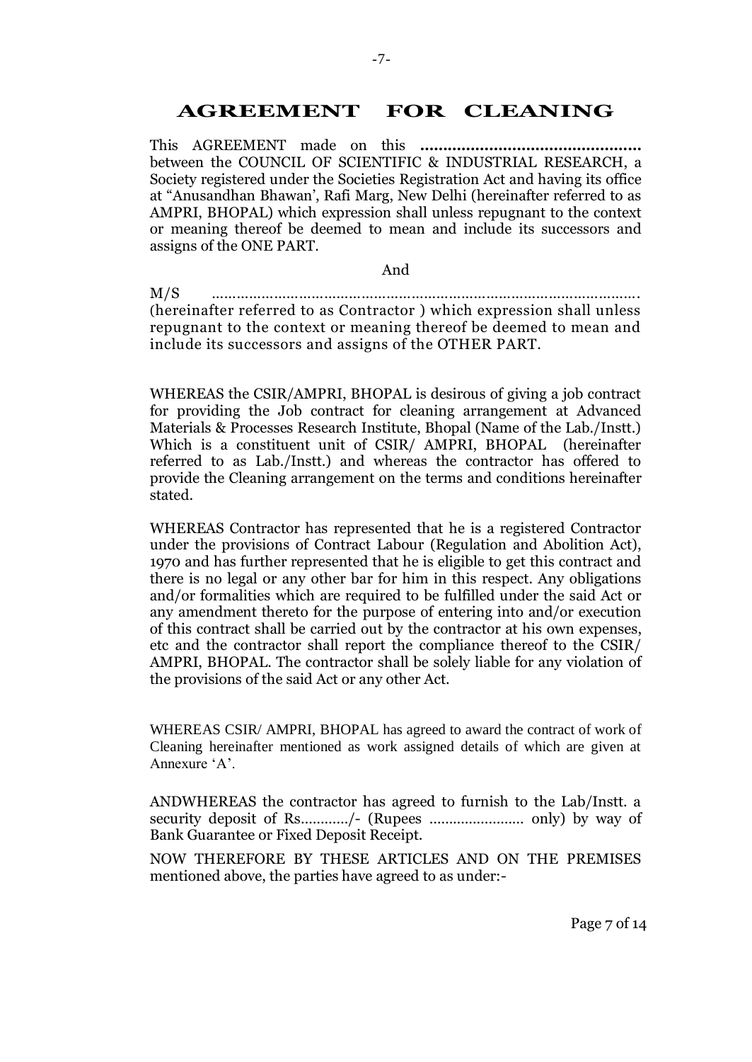# **AGREEMENT FOR CLEANING**

This AGREEMENT made on this **…………………………………………** between the COUNCIL OF SCIENTIFIC & INDUSTRIAL RESEARCH, a Society registered under the Societies Registration Act and having its office at "Anusandhan Bhawan', Rafi Marg, New Delhi (hereinafter referred to as AMPRI, BHOPAL) which expression shall unless repugnant to the context or meaning thereof be deemed to mean and include its successors and assigns of the ONE PART.

#### And

M/S …………………………………………………………………………………………. (hereinafter referred to as Contractor ) which expression shall unless repugnant to the context or meaning thereof be deemed to mean and include its successors and assigns of the OTHER PART.

WHEREAS the CSIR/AMPRI, BHOPAL is desirous of giving a job contract for providing the Job contract for cleaning arrangement at Advanced Materials & Processes Research Institute, Bhopal (Name of the Lab./Instt.) Which is a constituent unit of CSIR/ AMPRI, BHOPAL (hereinafter referred to as Lab./Instt.) and whereas the contractor has offered to provide the Cleaning arrangement on the terms and conditions hereinafter stated.

WHEREAS Contractor has represented that he is a registered Contractor under the provisions of Contract Labour (Regulation and Abolition Act), 1970 and has further represented that he is eligible to get this contract and there is no legal or any other bar for him in this respect. Any obligations and/or formalities which are required to be fulfilled under the said Act or any amendment thereto for the purpose of entering into and/or execution of this contract shall be carried out by the contractor at his own expenses, etc and the contractor shall report the compliance thereof to the CSIR/ AMPRI, BHOPAL. The contractor shall be solely liable for any violation of the provisions of the said Act or any other Act.

WHEREAS CSIR/ AMPRI, BHOPAL has agreed to award the contract of work of Cleaning hereinafter mentioned as work assigned details of which are given at Annexure 'A'.

ANDWHEREAS the contractor has agreed to furnish to the Lab/Instt. a security deposit of Rs…………/- (Rupees …………………… only) by way of Bank Guarantee or Fixed Deposit Receipt.

NOW THEREFORE BY THESE ARTICLES AND ON THE PREMISES mentioned above, the parties have agreed to as under:-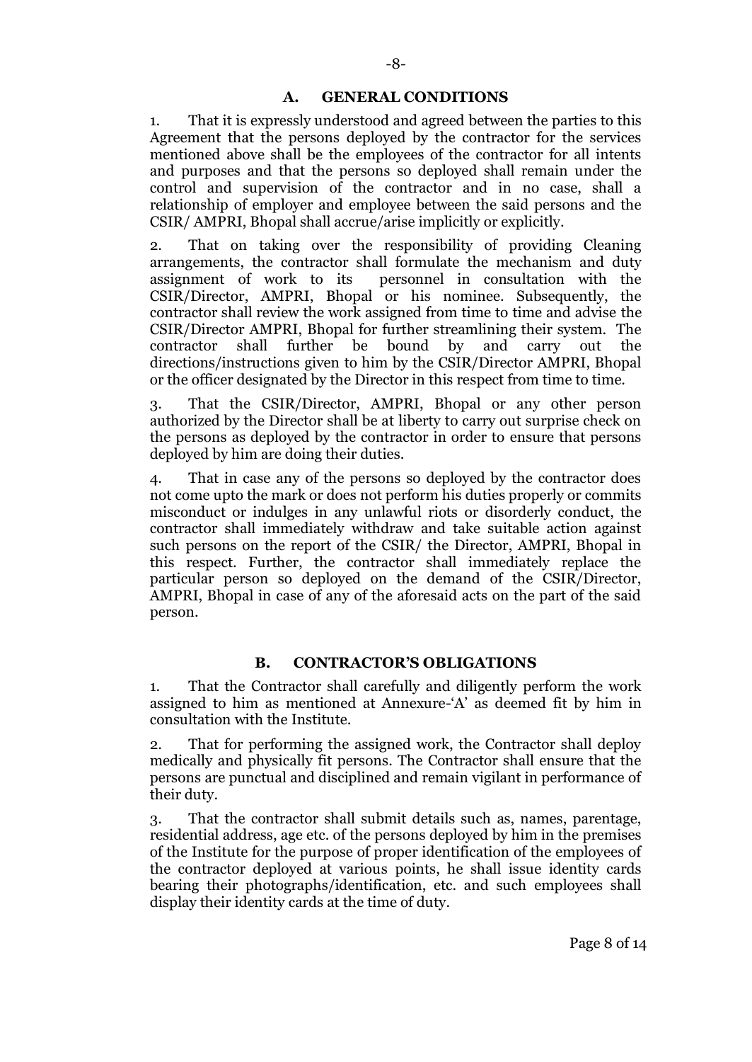## **A. GENERAL CONDITIONS**

1. That it is expressly understood and agreed between the parties to this Agreement that the persons deployed by the contractor for the services mentioned above shall be the employees of the contractor for all intents and purposes and that the persons so deployed shall remain under the control and supervision of the contractor and in no case, shall a relationship of employer and employee between the said persons and the CSIR/ AMPRI, Bhopal shall accrue/arise implicitly or explicitly.

2. That on taking over the responsibility of providing Cleaning arrangements, the contractor shall formulate the mechanism and duty assignment of work to its personnel in consultation with the CSIR/Director, AMPRI, Bhopal or his nominee. Subsequently, the contractor shall review the work assigned from time to time and advise the CSIR/Director AMPRI, Bhopal for further streamlining their system. The contractor shall further be bound by and carry out the directions/instructions given to him by the CSIR/Director AMPRI, Bhopal or the officer designated by the Director in this respect from time to time.

3. That the CSIR/Director, AMPRI, Bhopal or any other person authorized by the Director shall be at liberty to carry out surprise check on the persons as deployed by the contractor in order to ensure that persons deployed by him are doing their duties.

4. That in case any of the persons so deployed by the contractor does not come upto the mark or does not perform his duties properly or commits misconduct or indulges in any unlawful riots or disorderly conduct, the contractor shall immediately withdraw and take suitable action against such persons on the report of the CSIR/ the Director, AMPRI, Bhopal in this respect. Further, the contractor shall immediately replace the particular person so deployed on the demand of the CSIR/Director, AMPRI, Bhopal in case of any of the aforesaid acts on the part of the said person.

## **B. CONTRACTOR'S OBLIGATIONS**

1. That the Contractor shall carefully and diligently perform the work assigned to him as mentioned at Annexure-'A' as deemed fit by him in consultation with the Institute.

2. That for performing the assigned work, the Contractor shall deploy medically and physically fit persons. The Contractor shall ensure that the persons are punctual and disciplined and remain vigilant in performance of their duty.

3. That the contractor shall submit details such as, names, parentage, residential address, age etc. of the persons deployed by him in the premises of the Institute for the purpose of proper identification of the employees of the contractor deployed at various points, he shall issue identity cards bearing their photographs/identification, etc. and such employees shall display their identity cards at the time of duty.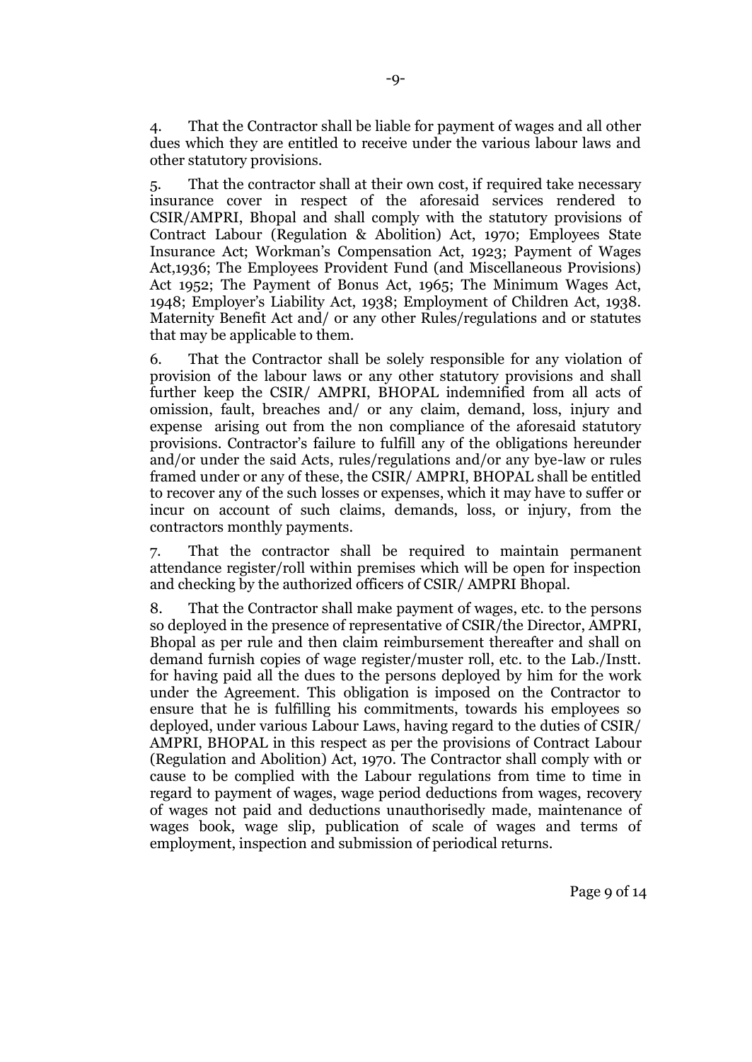4. That the Contractor shall be liable for payment of wages and all other dues which they are entitled to receive under the various labour laws and other statutory provisions.

5. That the contractor shall at their own cost, if required take necessary insurance cover in respect of the aforesaid services rendered to CSIR/AMPRI, Bhopal and shall comply with the statutory provisions of Contract Labour (Regulation & Abolition) Act, 1970; Employees State Insurance Act; Workman's Compensation Act, 1923; Payment of Wages Act,1936; The Employees Provident Fund (and Miscellaneous Provisions) Act 1952; The Payment of Bonus Act, 1965; The Minimum Wages Act, 1948; Employer's Liability Act, 1938; Employment of Children Act, 1938. Maternity Benefit Act and/ or any other Rules/regulations and or statutes that may be applicable to them.

6. That the Contractor shall be solely responsible for any violation of provision of the labour laws or any other statutory provisions and shall further keep the CSIR/ AMPRI, BHOPAL indemnified from all acts of omission, fault, breaches and/ or any claim, demand, loss, injury and expense arising out from the non compliance of the aforesaid statutory provisions. Contractor's failure to fulfill any of the obligations hereunder and/or under the said Acts, rules/regulations and/or any bye-law or rules framed under or any of these, the CSIR/ AMPRI, BHOPAL shall be entitled to recover any of the such losses or expenses, which it may have to suffer or incur on account of such claims, demands, loss, or injury, from the contractors monthly payments.

7. That the contractor shall be required to maintain permanent attendance register/roll within premises which will be open for inspection and checking by the authorized officers of CSIR/ AMPRI Bhopal.

8. That the Contractor shall make payment of wages, etc. to the persons so deployed in the presence of representative of CSIR/the Director, AMPRI, Bhopal as per rule and then claim reimbursement thereafter and shall on demand furnish copies of wage register/muster roll, etc. to the Lab./Instt. for having paid all the dues to the persons deployed by him for the work under the Agreement. This obligation is imposed on the Contractor to ensure that he is fulfilling his commitments, towards his employees so deployed, under various Labour Laws, having regard to the duties of CSIR/ AMPRI, BHOPAL in this respect as per the provisions of Contract Labour (Regulation and Abolition) Act, 1970. The Contractor shall comply with or cause to be complied with the Labour regulations from time to time in regard to payment of wages, wage period deductions from wages, recovery of wages not paid and deductions unauthorisedly made, maintenance of wages book, wage slip, publication of scale of wages and terms of employment, inspection and submission of periodical returns.

Page 9 of 14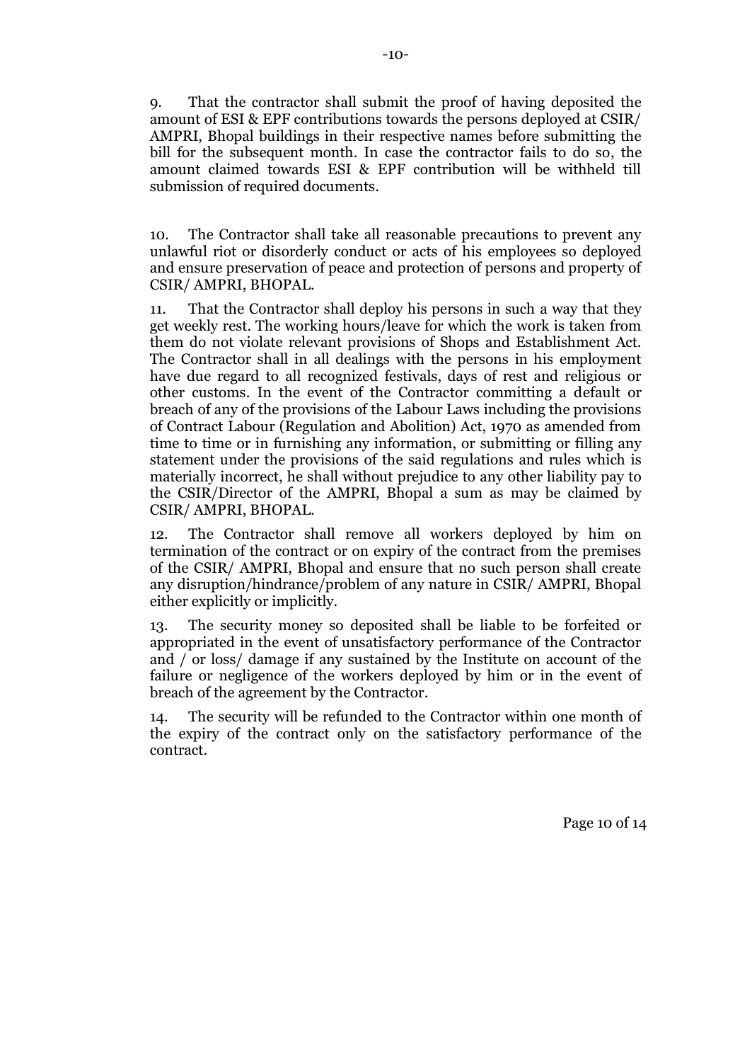9. That the contractor shall submit the proof of having deposited the amount of ESI & EPF contributions towards the persons deployed at CSIR/ AMPRI, Bhopal buildings in their respective names before submitting the bill for the subsequent month. In case the contractor fails to do so, the amount claimed towards ESI & EPF contribution will be withheld till submission of required documents.

10. The Contractor shall take all reasonable precautions to prevent any unlawful riot or disorderly conduct or acts of his employees so deployed and ensure preservation of peace and protection of persons and property of CSIR/ AMPRI, BHOPAL.

11. That the Contractor shall deploy his persons in such a way that they get weekly rest. The working hours/leave for which the work is taken from them do not violate relevant provisions of Shops and Establishment Act. The Contractor shall in all dealings with the persons in his employment have due regard to all recognized festivals, days of rest and religious or other customs. In the event of the Contractor committing a default or breach of any of the provisions of the Labour Laws including the provisions of Contract Labour (Regulation and Abolition) Act, 1970 as amended from time to time or in furnishing any information, or submitting or filling any statement under the provisions of the said regulations and rules which is materially incorrect, he shall without prejudice to any other liability pay to the CSIR/Director of the AMPRI, Bhopal a sum as may be claimed by CSIR/ AMPRI, BHOPAL.

12. The Contractor shall remove all workers deployed by him on termination of the contract or on expiry of the contract from the premises of the CSIR/ AMPRI, Bhopal and ensure that no such person shall create any disruption/hindrance/problem of any nature in CSIR/ AMPRI, Bhopal either explicitly or implicitly.

13. The security money so deposited shall be liable to be forfeited or appropriated in the event of unsatisfactory performance of the Contractor and / or loss/ damage if any sustained by the Institute on account of the failure or negligence of the workers deployed by him or in the event of breach of the agreement by the Contractor.

14. The security will be refunded to the Contractor within one month of the expiry of the contract only on the satisfactory performance of the contract.

Page 10 of 14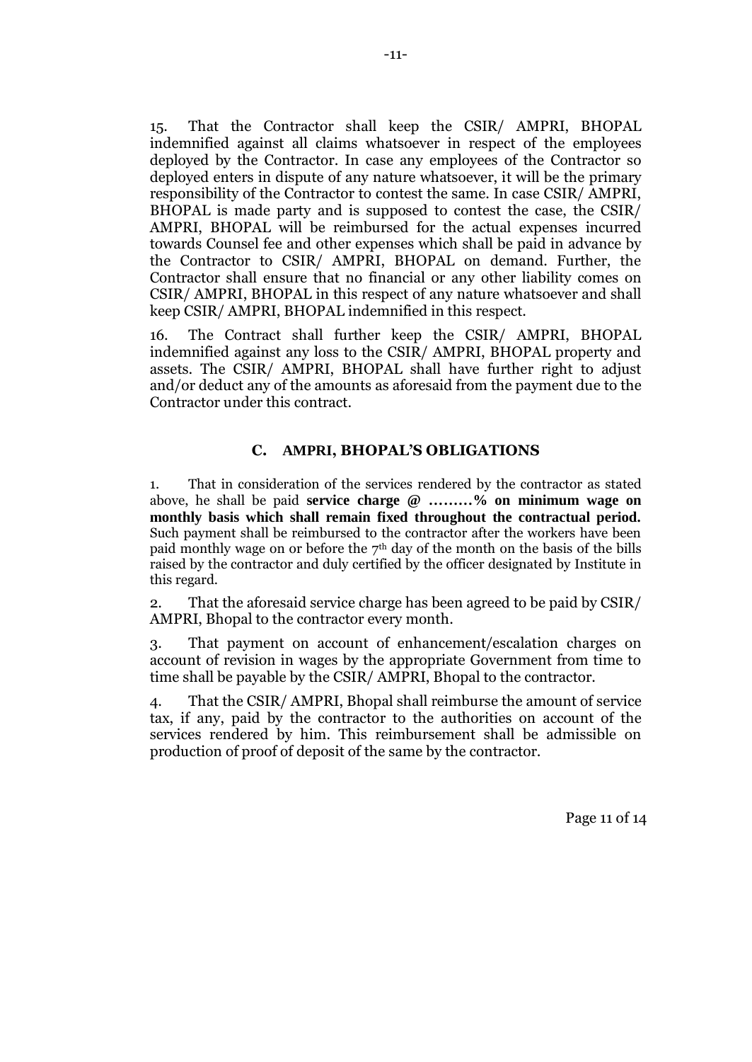15. That the Contractor shall keep the CSIR/ AMPRI, BHOPAL indemnified against all claims whatsoever in respect of the employees deployed by the Contractor. In case any employees of the Contractor so deployed enters in dispute of any nature whatsoever, it will be the primary responsibility of the Contractor to contest the same. In case CSIR/ AMPRI, BHOPAL is made party and is supposed to contest the case, the CSIR/ AMPRI, BHOPAL will be reimbursed for the actual expenses incurred towards Counsel fee and other expenses which shall be paid in advance by the Contractor to CSIR/ AMPRI, BHOPAL on demand. Further, the Contractor shall ensure that no financial or any other liability comes on CSIR/ AMPRI, BHOPAL in this respect of any nature whatsoever and shall keep CSIR/ AMPRI, BHOPAL indemnified in this respect.

16. The Contract shall further keep the CSIR/ AMPRI, BHOPAL indemnified against any loss to the CSIR/ AMPRI, BHOPAL property and assets. The CSIR/ AMPRI, BHOPAL shall have further right to adjust and/or deduct any of the amounts as aforesaid from the payment due to the Contractor under this contract.

### **C. AMPRI, BHOPAL'S OBLIGATIONS**

1. That in consideration of the services rendered by the contractor as stated above, he shall be paid **service charge @ ………% on minimum wage on monthly basis which shall remain fixed throughout the contractual period.** Such payment shall be reimbursed to the contractor after the workers have been paid monthly wage on or before the  $7<sup>th</sup>$  day of the month on the basis of the bills raised by the contractor and duly certified by the officer designated by Institute in this regard.

2. That the aforesaid service charge has been agreed to be paid by CSIR/ AMPRI, Bhopal to the contractor every month.

3. That payment on account of enhancement/escalation charges on account of revision in wages by the appropriate Government from time to time shall be payable by the CSIR/ AMPRI, Bhopal to the contractor.

4. That the CSIR/ AMPRI, Bhopal shall reimburse the amount of service tax, if any, paid by the contractor to the authorities on account of the services rendered by him. This reimbursement shall be admissible on production of proof of deposit of the same by the contractor.

Page 11 of 14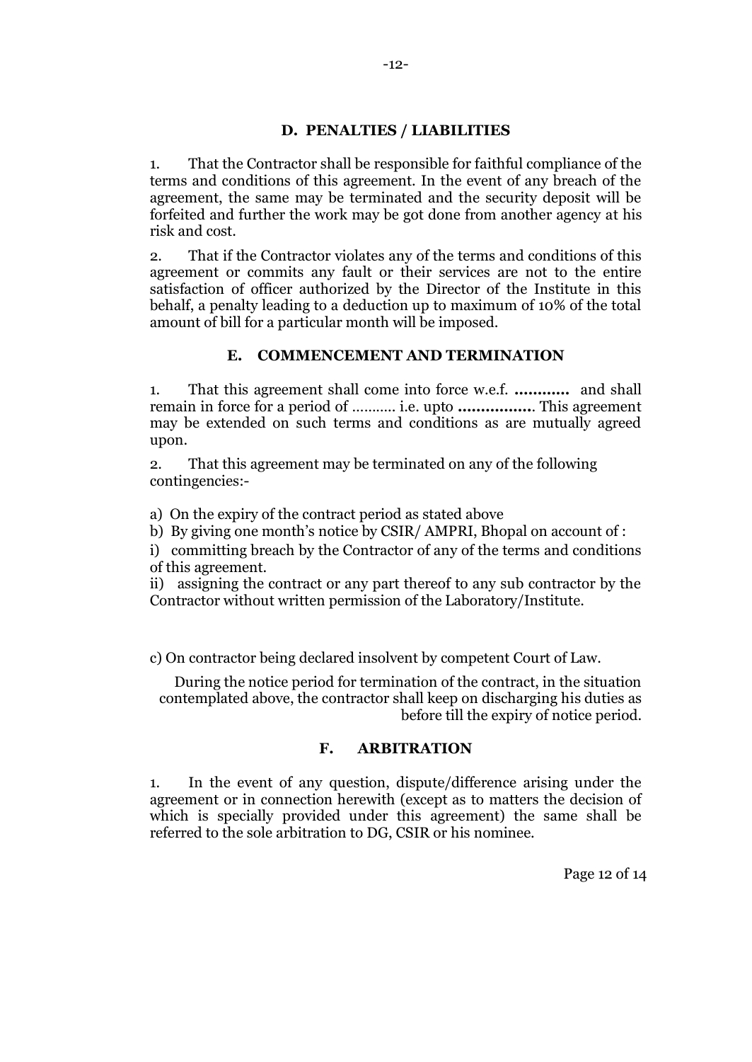### **D. PENALTIES / LIABILITIES**

1. That the Contractor shall be responsible for faithful compliance of the terms and conditions of this agreement. In the event of any breach of the agreement, the same may be terminated and the security deposit will be forfeited and further the work may be got done from another agency at his risk and cost.

2. That if the Contractor violates any of the terms and conditions of this agreement or commits any fault or their services are not to the entire satisfaction of officer authorized by the Director of the Institute in this behalf, a penalty leading to a deduction up to maximum of 10% of the total amount of bill for a particular month will be imposed.

## **E. COMMENCEMENT AND TERMINATION**

1. That this agreement shall come into force w.e.f. **…………** and shall remain in force for a period of ……….. i.e. upto **…………….**. This agreement may be extended on such terms and conditions as are mutually agreed upon.

2. That this agreement may be terminated on any of the following contingencies:-

a) On the expiry of the contract period as stated above

b) By giving one month's notice by CSIR/ AMPRI, Bhopal on account of :

i) committing breach by the Contractor of any of the terms and conditions of this agreement.

ii) assigning the contract or any part thereof to any sub contractor by the Contractor without written permission of the Laboratory/Institute.

c) On contractor being declared insolvent by competent Court of Law.

During the notice period for termination of the contract, in the situation contemplated above, the contractor shall keep on discharging his duties as before till the expiry of notice period.

### **F. ARBITRATION**

1. In the event of any question, dispute/difference arising under the agreement or in connection herewith (except as to matters the decision of which is specially provided under this agreement) the same shall be referred to the sole arbitration to DG, CSIR or his nominee.

Page 12 of 14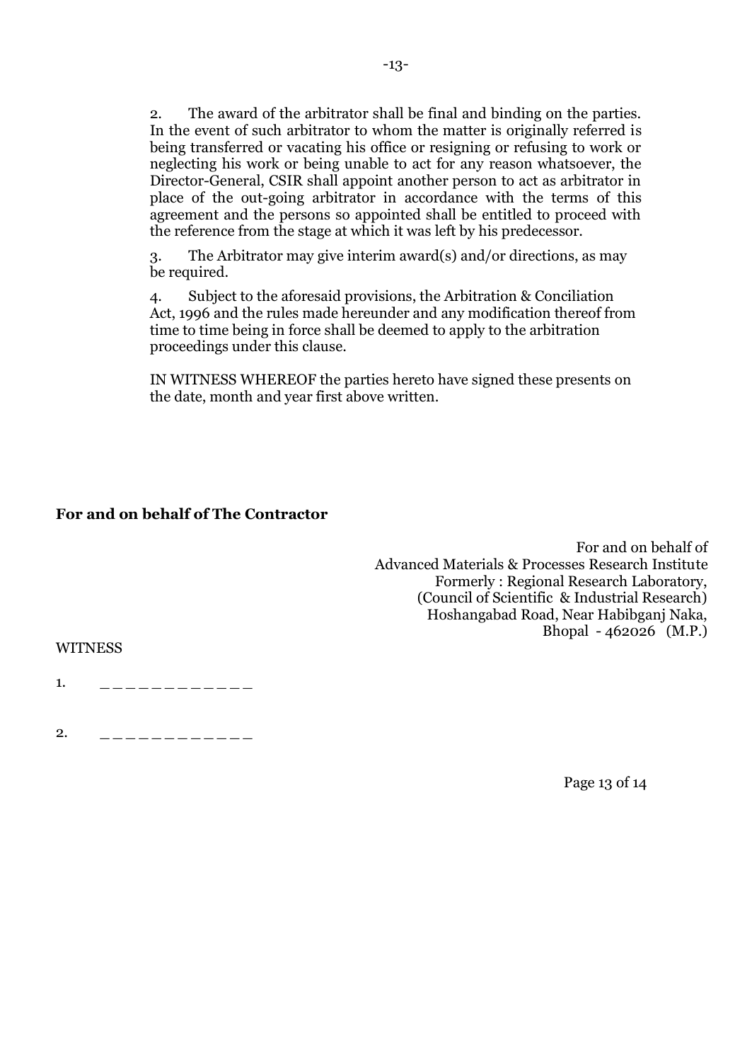2. The award of the arbitrator shall be final and binding on the parties. In the event of such arbitrator to whom the matter is originally referred is being transferred or vacating his office or resigning or refusing to work or neglecting his work or being unable to act for any reason whatsoever, the Director-General, CSIR shall appoint another person to act as arbitrator in place of the out-going arbitrator in accordance with the terms of this agreement and the persons so appointed shall be entitled to proceed with the reference from the stage at which it was left by his predecessor.

3. The Arbitrator may give interim award(s) and/or directions, as may be required.

4. Subject to the aforesaid provisions, the Arbitration & Conciliation Act, 1996 and the rules made hereunder and any modification thereof from time to time being in force shall be deemed to apply to the arbitration proceedings under this clause.

IN WITNESS WHEREOF the parties hereto have signed these presents on the date, month and year first above written.

## **For and on behalf of The Contractor**

 For and on behalf of Advanced Materials & Processes Research Institute Formerly : Regional Research Laboratory, (Council of Scientific & Industrial Research) Hoshangabad Road, Near Habibganj Naka, Bhopal - 462026 (M.P.)

WITNESS

1. \_ \_ \_ \_ \_ \_ \_ \_ \_ \_ \_ \_ \_

2. \_ \_ \_ \_ \_ \_ \_ \_ \_ \_ \_ \_

Page 13 of 14